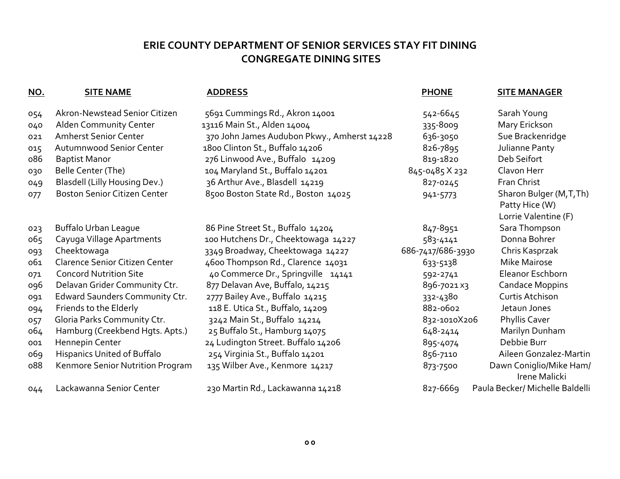# **ERIE COUNTY DEPARTMENT OF SENIOR SERVICES STAY FIT DINING CONGREGATE DINING SITES**

| <u>NO.</u> | <b>SITE NAME</b>                     | <b>ADDRESS</b>                              | <b>PHONE</b>      | <b>SITE MANAGER</b>                      |
|------------|--------------------------------------|---------------------------------------------|-------------------|------------------------------------------|
| 054        | Akron-Newstead Senior Citizen        | 5691 Cummings Rd., Akron 14001              | 542-6645          | Sarah Young                              |
| 040        | Alden Community Center               | 13116 Main St., Alden 14004                 | 335-8009          | Mary Erickson                            |
| 021        | <b>Amherst Senior Center</b>         | 370 John James Audubon Pkwy., Amherst 14228 | 636-3050          | Sue Brackenridge                         |
| 015        | Autumnwood Senior Center             | 1800 Clinton St., Buffalo 14206             | 826-7895          | Julianne Panty                           |
| 086        | <b>Baptist Manor</b>                 | 276 Linwood Ave., Buffalo 14209             | 819-1820          | Deb Seifort                              |
| 030        | Belle Center (The)                   | 104 Maryland St., Buffalo 14201             | 845-0485 X 232    | Clavon Herr                              |
| 049        | <b>Blasdell (Lilly Housing Dev.)</b> | 36 Arthur Ave., Blasdell 14219              | 827-0245          | Fran Christ                              |
| 077        | <b>Boston Senior Citizen Center</b>  | 8500 Boston State Rd., Boston 14025         | 941-5773          | Sharon Bulger (M,T,Th)                   |
|            |                                      |                                             |                   | Patty Hice (W)                           |
|            |                                      |                                             |                   | Lorrie Valentine (F)                     |
| 023        | <b>Buffalo Urban League</b>          | 86 Pine Street St., Buffalo 14204           | 847-8951          | Sara Thompson                            |
| 065        | Cayuga Village Apartments            | 100 Hutchens Dr., Cheektowaga 14227         | 583-4141          | Donna Bohrer                             |
| 093        | Cheektowaga                          | 3349 Broadway, Cheektowaga 14227            | 686-7417/686-3930 | Chris Kasprzak                           |
| 061        | Clarence Senior Citizen Center       | 4600 Thompson Rd., Clarence 14031           | 633-5138          | Mike Mairose                             |
| 071        | <b>Concord Nutrition Site</b>        | 40 Commerce Dr., Springville 14141          | 592-2741          | Eleanor Eschborn                         |
| 096        | Delavan Grider Community Ctr.        | 877 Delavan Ave, Buffalo, 14215             | 896-7021 x3       | <b>Candace Moppins</b>                   |
| 091        | Edward Saunders Community Ctr.       | 2777 Bailey Ave., Buffalo 14215             | 332-4380          | Curtis Atchison                          |
| 094        | Friends to the Elderly               | 118 E. Utica St., Buffalo, 14209            | 882-0602          | Jetaun Jones                             |
| 057        | Gloria Parks Community Ctr.          | 3242 Main St., Buffalo 14214                | 832-1010X206      | Phyllis Caver                            |
| 064        | Hamburg (Creekbend Hgts. Apts.)      | 25 Buffalo St., Hamburg 14075               | 648-2414          | Marilyn Dunham                           |
| 001        | Hennepin Center                      | 24 Ludington Street. Buffalo 14206          | 895-4074          | Debbie Burr                              |
| 069        | Hispanics United of Buffalo          | 254 Virginia St., Buffalo 14201             | 856-7110          | Aileen Gonzalez-Martin                   |
| 088        | Kenmore Senior Nutrition Program     | 135 Wilber Ave., Kenmore 14217              | 873-7500          | Dawn Coniglio/Mike Ham/<br>Irene Malicki |
| 044        | Lackawanna Senior Center             | 230 Martin Rd., Lackawanna 14218            | 827-6669          | Paula Becker/ Michelle Baldelli          |